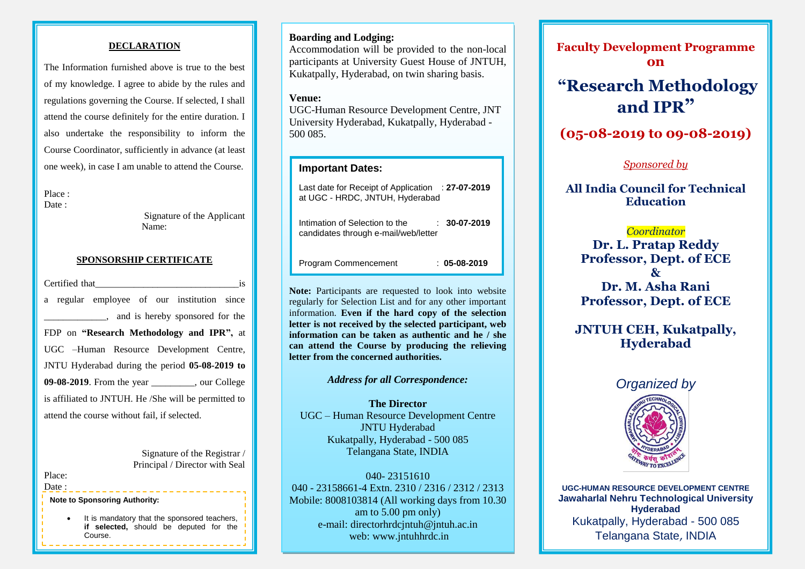#### **DECLARATION**

regulations governing the Course. If selected, I shall The Information furnished above is true to the best of my knowledge. I agree to abide by the rules and attend the course definitely for the entire duration. I also undertake the responsibility to inform the Course Coordinator, sufficiently in advance (at least one week), in case I am unable to attend the Course.

Place : Date :

> Signature of the Applicant Name:

### **SPONSORSHIP CERTIFICATE**

Certified that a regular employee of our institution since \_\_\_\_\_\_\_\_\_\_\_\_\_, and is hereby sponsored for the FDP on **"Research Methodology and IPR",** at UGC –Human Resource Development Centre, JNTU Hyderabad during the period **05-08-2019 to 09-08-2019**. From the year cour College is affiliated to JNTUH. He /She will be permitted to attend the course without fail, if selected.

> Signature of the Registrar / Principal / Director with Seal

Place: Date :

**Note to Sponsoring Authority:**

 It is mandatory that the sponsored teachers, **if selected,** should be deputed for the Course.

# **Boarding and Lodging:**

Accommodation will be provided to the non-local participants at University Guest House of JNTUH, Kukatpally, Hyderabad, on twin sharing basis.

#### **Venue:**

UGC-Human Resource Development Centre, JNT University Hyderabad, Kukatpally, Hyderabad - 500 085.

# **Important Dates:**

| Last date for Receipt of Application : 27-07-2019<br>at UGC - HRDC, JNTUH, Hyderabad |                |
|--------------------------------------------------------------------------------------|----------------|
| Intimation of Selection to the<br>candidates through e-mail/web/letter               | $: 30-07-2019$ |
| Program Commencement                                                                 | $: 05-08-2019$ |

**Note:** Participants are requested to look into website regularly for Selection List and for any other important information. **Even if the hard copy of the selection letter is not received by the selected participant, web information can be taken as authentic and he / she can attend the Course by producing the relieving letter from the concerned authorities.**

#### *Address for all Correspondence:*

**The Director** UGC – Human Resource Development Centre JNTU Hyderabad Kukatpally, Hyderabad - 500 085 Telangana State, INDIA

040- 23151610 040 - 23158661-4 Extn. 2310 / 2316 / 2312 / 2313 Mobile: 8008103814 (All working days from 10.30 am to 5.00 pm only) e-mail: directorhrdcjntuh@jntuh.ac.in web: www.jntuhhrdc.in

**Faculty Development Programme on**

# **"Research Methodology and IPR"**

**(05-08-2019 to 09-08-2019)**

# *Sponsored by*

**All India Council for Technical Education**

## *Coordinator*

**Dr. L. Pratap Reddy Professor, Dept. of ECE & Dr. M. Asha Rani Professor, Dept. of ECE**

**JNTUH CEH, Kukatpally, Hyderabad**

# *Organized by*



**UGC-HUMAN RESOURCE DEVELOPMENT CENTRE Jawaharlal Nehru Technological University Hyderabad** Kukatpally, Hyderabad - 500 085 Telangana State, INDIA